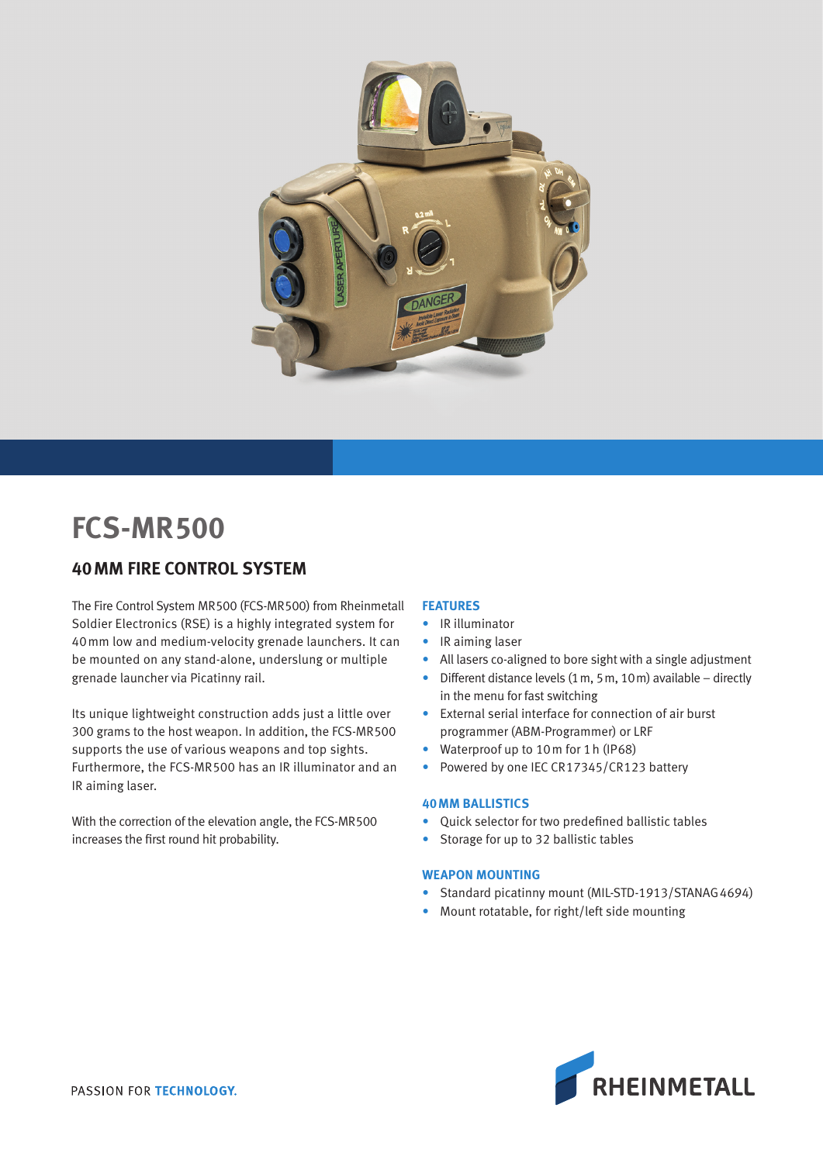

# **FCS-MR500**

## **40MM FIRE CONTROL SYSTEM**

The Fire Control System MR500 (FCS-MR500) from Rheinmetall Soldier Electronics (RSE) is a highly integrated system for 40mm low and medium-velocity grenade launchers. It can be mounted on any stand-alone, underslung or multiple grenade launcher via Picatinny rail.

Its unique lightweight construction adds just a little over 300 grams to the host weapon. In addition, the FCS-MR500 supports the use of various weapons and top sights. Furthermore, the FCS-MR500 has an IR illuminator and an IR aiming laser.

With the correction of the elevation angle, the FCS-MR500 increases the first round hit probability.

### **FEATURES**

- IR illuminator
- IR aiming laser
- All lasers co-aligned to bore sight with a single adjustment
- Different distance levels (1m, 5m, 10m) available directly in the menu for fast switching
- External serial interface for connection of air burst programmer (ABM-Programmer) or LRF
- Waterproof up to 10m for 1h (IP68)
- Powered by one IEC CR17345/CR123 battery

#### **40MM BALLISTICS**

- Quick selector for two predefined ballistic tables
- Storage for up to 32 ballistic tables

#### **WEAPON MOUNTING**

- Standard picatinny mount (MIL-STD-1913/STANAG 4694)
- Mount rotatable, for right/left side mounting